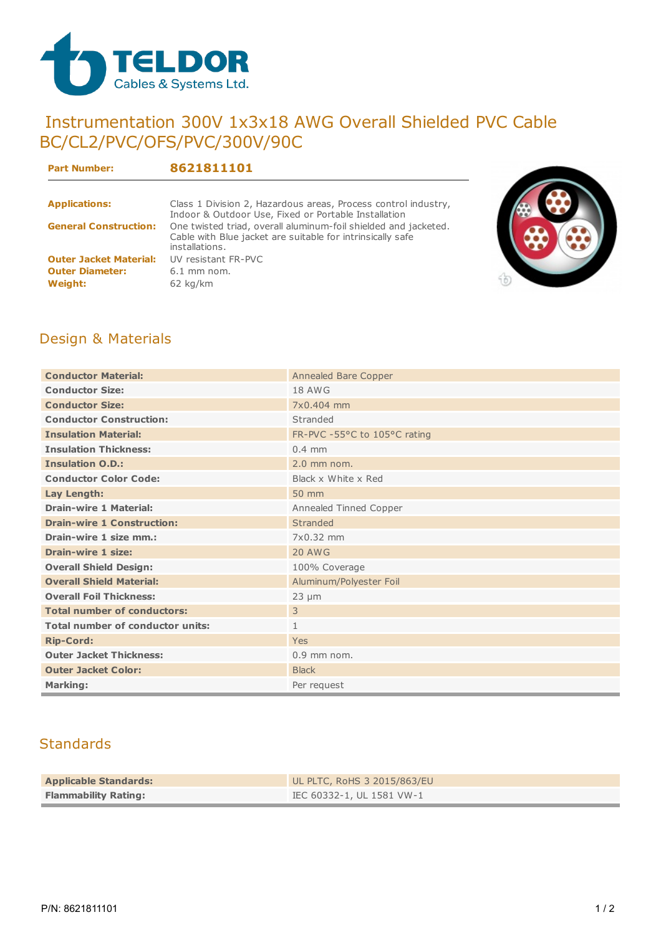

## Instrumentation 300V 1x3x18 AWG Overall Shielded PVC Cable BC/CL2/PVC/OFS/PVC/300V/90C

**Part Number: 8621811101**

| <b>Applications:</b>          | Class 1 Division 2, Hazardous areas, Process control industry,<br>Indoor & Outdoor Use, Fixed or Portable Installation                          |
|-------------------------------|-------------------------------------------------------------------------------------------------------------------------------------------------|
| <b>General Construction:</b>  | One twisted triad, overall aluminum-foil shielded and jacketed.<br>Cable with Blue jacket are suitable for intrinsically safe<br>installations. |
| <b>Outer Jacket Material:</b> | UV resistant FR-PVC                                                                                                                             |
| <b>Outer Diameter:</b>        | $6.1$ mm nom.                                                                                                                                   |
| Weight:                       | $62$ kg/km                                                                                                                                      |



## Design & Materials

| <b>Conductor Material:</b>              | Annealed Bare Copper         |  |  |  |
|-----------------------------------------|------------------------------|--|--|--|
| <b>Conductor Size:</b>                  | <b>18 AWG</b>                |  |  |  |
| <b>Conductor Size:</b>                  | 7x0.404 mm                   |  |  |  |
| <b>Conductor Construction:</b>          | Stranded                     |  |  |  |
| <b>Insulation Material:</b>             | FR-PVC -55°C to 105°C rating |  |  |  |
| <b>Insulation Thickness:</b>            | $0.4$ mm                     |  |  |  |
| <b>Insulation O.D.:</b>                 | $2.0$ mm nom.                |  |  |  |
| <b>Conductor Color Code:</b>            | Black x White x Red          |  |  |  |
| Lay Length:                             | 50 mm                        |  |  |  |
| <b>Drain-wire 1 Material:</b>           | Annealed Tinned Copper       |  |  |  |
| <b>Drain-wire 1 Construction:</b>       | Stranded                     |  |  |  |
| Drain-wire 1 size mm.:                  | 7x0.32 mm                    |  |  |  |
| <b>Drain-wire 1 size:</b>               | <b>20 AWG</b>                |  |  |  |
| <b>Overall Shield Design:</b>           | 100% Coverage                |  |  |  |
| <b>Overall Shield Material:</b>         | Aluminum/Polyester Foil      |  |  |  |
| <b>Overall Foil Thickness:</b>          | $23 \mu m$                   |  |  |  |
| <b>Total number of conductors:</b>      | $\overline{3}$               |  |  |  |
| <b>Total number of conductor units:</b> | $\mathbf{1}$                 |  |  |  |
| <b>Rip-Cord:</b>                        | Yes                          |  |  |  |
| <b>Outer Jacket Thickness:</b>          | $0.9$ mm nom.                |  |  |  |
| <b>Outer Jacket Color:</b>              | <b>Black</b>                 |  |  |  |
| <b>Marking:</b>                         | Per request                  |  |  |  |

## **Standards**

| <b>Applicable Standards:</b> | UL PLTC, RoHS 3 2015/863/EU |
|------------------------------|-----------------------------|
| <b>Flammability Rating:</b>  | IEC 60332-1, UL 1581 VW-1   |